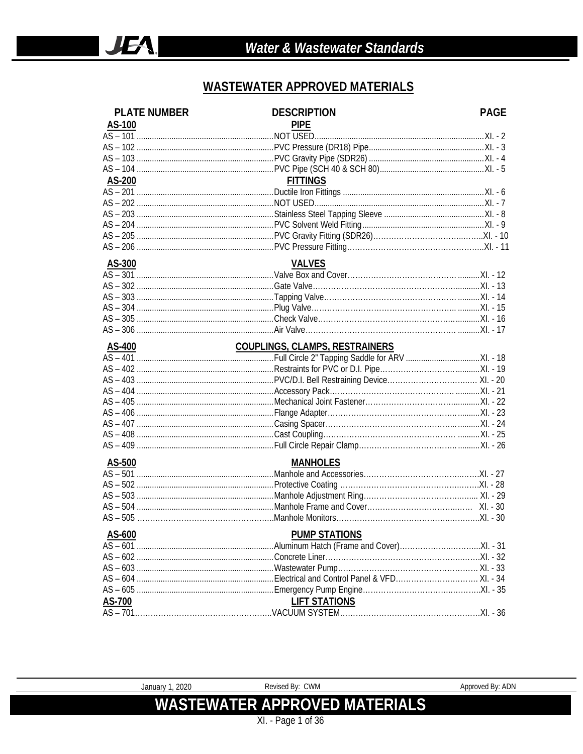#### **WASTEWATER APPROVED MATERIALS**

| <b>PLATE NUMBER</b> | <b>DESCRIPTION</b>                    | <b>PAGE</b> |
|---------------------|---------------------------------------|-------------|
| AS-100              | <b>PIPE</b>                           |             |
|                     |                                       |             |
|                     |                                       |             |
|                     |                                       |             |
|                     |                                       |             |
| AS-200              | <b>FITTINGS</b>                       |             |
|                     |                                       |             |
|                     |                                       |             |
|                     |                                       |             |
|                     |                                       |             |
|                     |                                       |             |
|                     |                                       |             |
| AS-300              | <b>VALVES</b>                         |             |
|                     |                                       |             |
|                     |                                       |             |
|                     |                                       |             |
|                     |                                       |             |
|                     |                                       |             |
|                     |                                       |             |
| AS-400              | <b>COUPLINGS, CLAMPS, RESTRAINERS</b> |             |
|                     |                                       |             |
|                     |                                       |             |
|                     |                                       |             |
|                     |                                       |             |
|                     |                                       |             |
|                     |                                       |             |
|                     |                                       |             |
|                     |                                       |             |
|                     |                                       |             |
| AS-500              | <b>MANHOLES</b>                       |             |
|                     |                                       |             |
|                     |                                       |             |
|                     |                                       |             |
|                     |                                       |             |
|                     |                                       |             |
| AS-600              | <b>PUMP STATIONS</b>                  |             |
|                     |                                       |             |
|                     |                                       |             |
|                     |                                       |             |
|                     |                                       |             |
|                     |                                       |             |
| AS-700              | <b>LIFT STATIONS</b>                  |             |
|                     |                                       |             |

January 1, 2020

Revised By: CWM

**WASTEWATER APPROVED MATERIALS** XI. - Page 1 of 36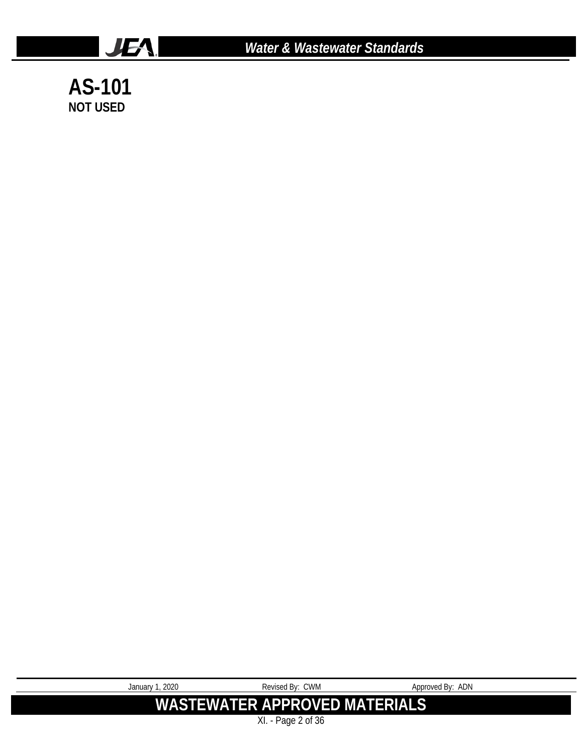

*Water & Wastewater Standards*

**AS-101 NOT USED**

| January 1, 2020 | Revised By: CWM                | Approved By: ADN |
|-----------------|--------------------------------|------------------|
|                 | WASTEWATER APPROVED MATERIALS' |                  |
|                 | $XI. - Page 2 of 36$           |                  |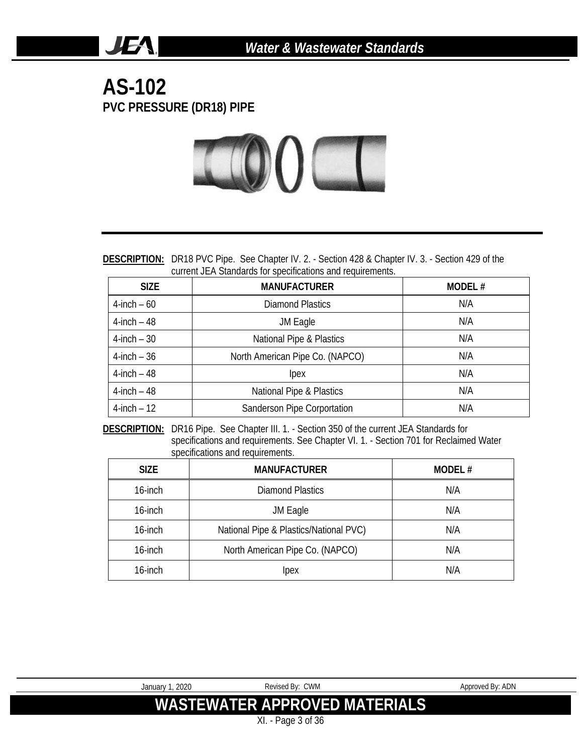#### **AS-102 PVC PRESSURE (DR18) PIPE**

JEA.



**DESCRIPTION:** DR18 PVC Pipe. See Chapter IV. 2. - Section 428 & Chapter IV. 3. - Section 429 of the current JEA Standards for specifications and requirements.

| <b>SIZE</b>     | <b>MANUFACTURER</b>             | MODEL# |
|-----------------|---------------------------------|--------|
| $4$ -inch – 60  | Diamond Plastics                | N/A    |
| $4$ -inch $-48$ | JM Eagle                        | N/A    |
| $4$ -inch – 30  | National Pipe & Plastics        | N/A    |
| $4$ -inch $-36$ | North American Pipe Co. (NAPCO) | N/A    |
| $4$ -inch $-48$ | lpex                            | N/A    |
| $4$ -inch $-48$ | National Pipe & Plastics        | N/A    |
| $4$ -inch $-12$ | Sanderson Pipe Corportation     | N/A    |

**DESCRIPTION:** DR16 Pipe. See Chapter III. 1. - Section 350 of the current JEA Standards for specifications and requirements. See Chapter VI. 1. - Section 701 for Reclaimed Water specifications and requirements.

| <b>SIZE</b> | <b>MANUFACTURER</b>                    | MODEL# |
|-------------|----------------------------------------|--------|
| 16-inch     | <b>Diamond Plastics</b>                | N/A    |
| 16-inch     | JM Eagle                               | N/A    |
| 16-inch     | National Pipe & Plastics/National PVC) | N/A    |
| 16-inch     | North American Pipe Co. (NAPCO)        | N/A    |
| 16-inch     | Ipex                                   | N/A    |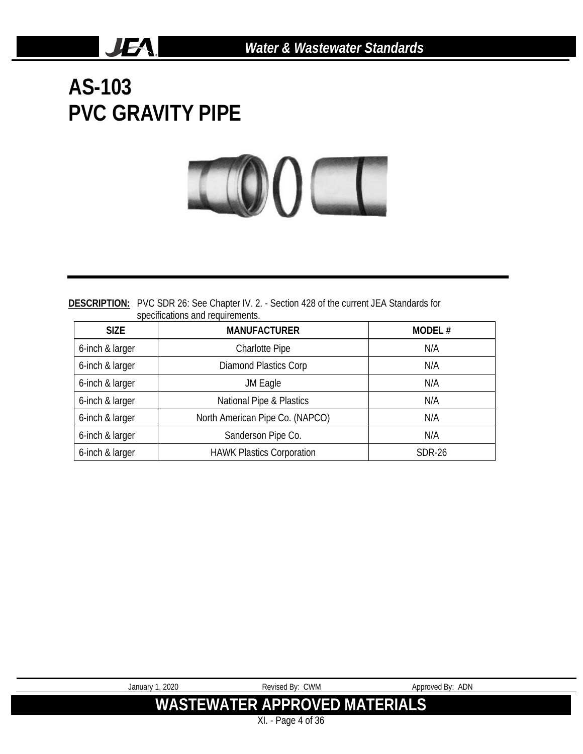**AS-103 PVC GRAVITY PIPE**

**JEA** 



**DESCRIPTION:** PVC SDR 26: See Chapter IV. 2. - Section 428 of the current JEA Standards for specifications and requirements.

| <b>SIZE</b>     | <b>MANUFACTURER</b>              | MODEL# |
|-----------------|----------------------------------|--------|
| 6-inch & larger | <b>Charlotte Pipe</b>            | N/A    |
| 6-inch & larger | <b>Diamond Plastics Corp</b>     | N/A    |
| 6-inch & larger | JM Eagle                         | N/A    |
| 6-inch & larger | National Pipe & Plastics         | N/A    |
| 6-inch & larger | North American Pipe Co. (NAPCO)  | N/A    |
| 6-inch & larger | Sanderson Pipe Co.               | N/A    |
| 6-inch & larger | <b>HAWK Plastics Corporation</b> | SDR-26 |

| January 1, 2020    | Revised By: CWM               | Approved By: ADN |  |
|--------------------|-------------------------------|------------------|--|
|                    | WASTEWATER APPROVED MATERIALS |                  |  |
| XI. - Page 4 of 36 |                               |                  |  |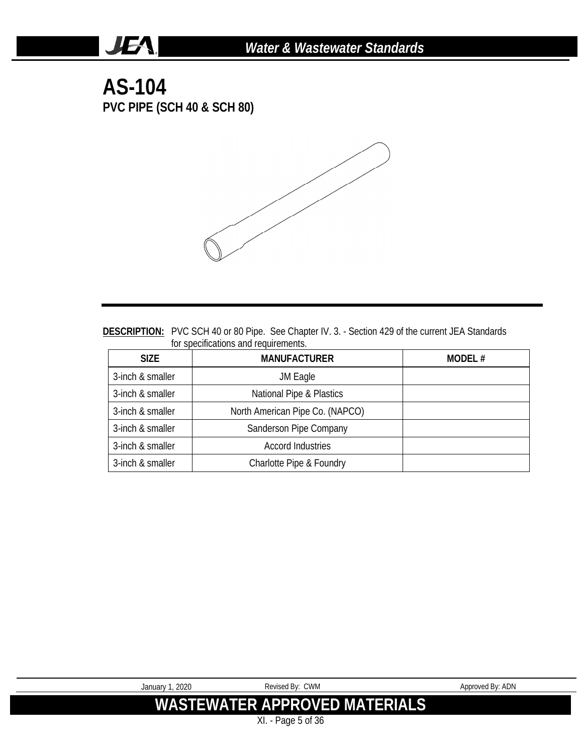### **AS-104 PVC PIPE (SCH 40 & SCH 80)**

**JEA** 



| <b>DESCRIPTION:</b> PVC SCH 40 or 80 Pipe. See Chapter IV. 3. - Section 429 of the current JEA Standards |
|----------------------------------------------------------------------------------------------------------|
| for specifications and requirements.                                                                     |

| <b>SIZE</b>      | <b>MANUFACTURER</b>             | MODEL# |
|------------------|---------------------------------|--------|
| 3-inch & smaller | JM Eagle                        |        |
| 3-inch & smaller | National Pipe & Plastics        |        |
| 3-inch & smaller | North American Pipe Co. (NAPCO) |        |
| 3-inch & smaller | Sanderson Pipe Company          |        |
| 3-inch & smaller | <b>Accord Industries</b>        |        |
| 3-inch & smaller | Charlotte Pipe & Foundry        |        |

| January 1, 2020 | Revised By: CWM                      | Approved By: ADN |
|-----------------|--------------------------------------|------------------|
|                 | <b>WASTEWATER APPROVED MATERIALS</b> |                  |
|                 | $XI. - Page 5 of 36$                 |                  |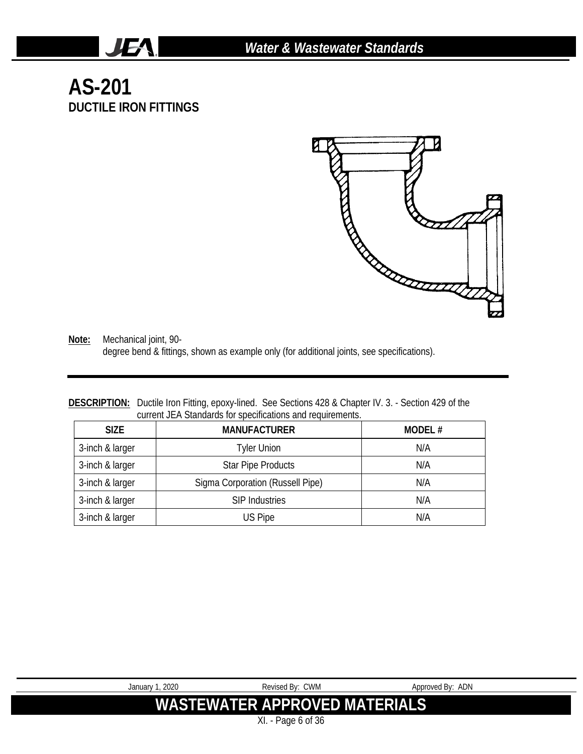# **AS-201 DUCTILE IRON FITTINGS**

JEA.



**Note:** Mechanical joint, 90 degree bend & fittings, shown as example only (for additional joints, see specifications).

#### **DESCRIPTION:** Ductile Iron Fitting, epoxy-lined. See Sections 428 & Chapter IV. 3. - Section 429 of the current JEA Standards for specifications and requirements.

| <b>SIZE</b>     | <b>MANUFACTURER</b>              | MODEL# |
|-----------------|----------------------------------|--------|
| 3-inch & larger | Tyler Union                      | N/A    |
| 3-inch & larger | <b>Star Pipe Products</b>        | N/A    |
| 3-inch & larger | Sigma Corporation (Russell Pipe) | N/A    |
| 3-inch & larger | <b>SIP Industries</b>            | N/A    |
| 3-inch & larger | US Pipe                          | N/A    |

| January 1, 2020 | Revised By: CWM                | Approved By: ADN |  |
|-----------------|--------------------------------|------------------|--|
|                 | WASTEWATER APPROVED MATERIALS! |                  |  |
|                 | XI. - Page 6 of 36             |                  |  |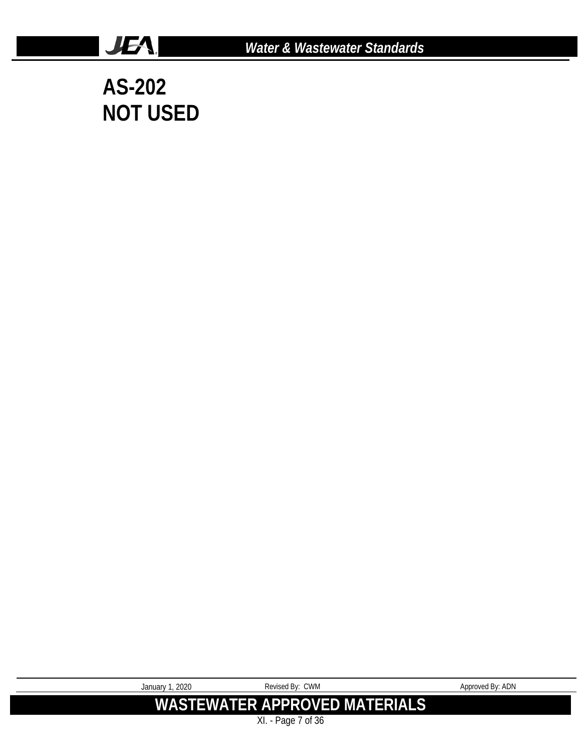

**AS-202 NOT USED**

**JEA** 

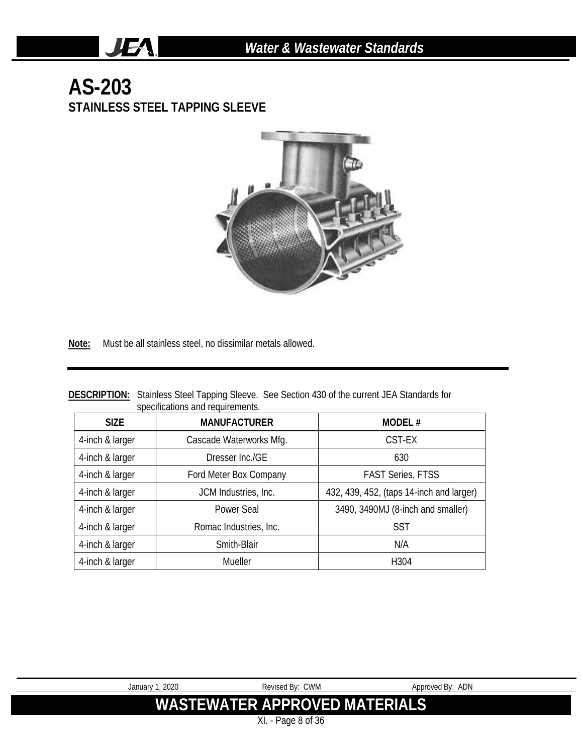# **AS-203 STAINLESS STEEL TAPPING SLEEVE**

JEA.



**Note:** Must be all stainless steel, no dissimilar metals allowed.

|                                  | <b>DESCRIPTION:</b> Stainless Steel Tapping Sleeve. See Section 430 of the current JEA Standards for |
|----------------------------------|------------------------------------------------------------------------------------------------------|
| specifications and requirements. |                                                                                                      |

| <b>SIZE</b>     | <b>MANUFACTURER</b>     | MODEL#                                   |
|-----------------|-------------------------|------------------------------------------|
| 4-inch & larger | Cascade Waterworks Mfg. | CST-EX                                   |
| 4-inch & larger | Dresser Inc./GE         | 630                                      |
| 4-inch & larger | Ford Meter Box Company  | <b>FAST Series, FTSS</b>                 |
| 4-inch & larger | JCM Industries, Inc.    | 432, 439, 452, (taps 14-inch and larger) |
| 4-inch & larger | Power Seal              | 3490, 3490MJ (8-inch and smaller)        |
| 4-inch & larger | Romac Industries, Inc.  | <b>SST</b>                               |
| 4-inch & larger | Smith-Blair             | N/A                                      |
| 4-inch & larger | Mueller                 | H <sub>304</sub>                         |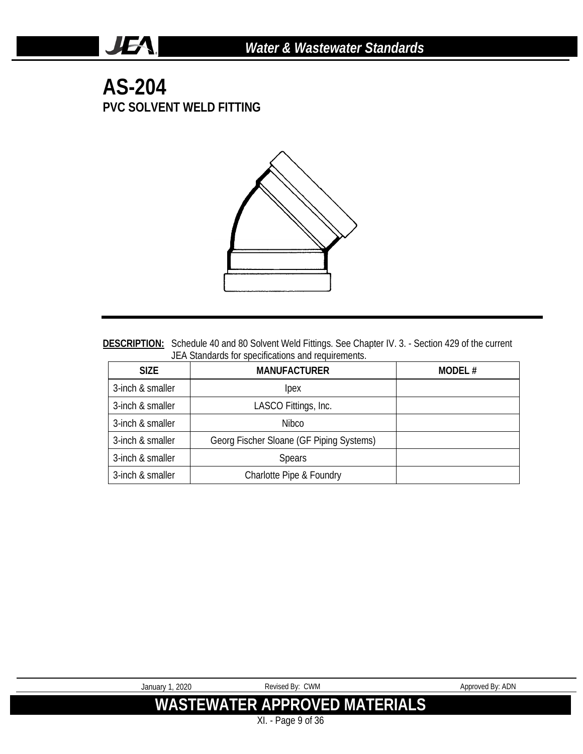#### **AS-204 PVC SOLVENT WELD FITTING**

**JEA** 



DESCRIPTION: Schedule 40 and 80 Solvent Weld Fittings. See Chapter IV. 3. - Section 429 of the current JEA Standards for specifications and requirements.

| <b>SIZE</b>      | <b>MANUFACTURER</b>                      | MODEL# |
|------------------|------------------------------------------|--------|
| 3-inch & smaller | lpex                                     |        |
| 3-inch & smaller | LASCO Fittings, Inc.                     |        |
| 3-inch & smaller | Nibco                                    |        |
| 3-inch & smaller | Georg Fischer Sloane (GF Piping Systems) |        |
| 3-inch & smaller | <b>Spears</b>                            |        |
| 3-inch & smaller | Charlotte Pipe & Foundry                 |        |

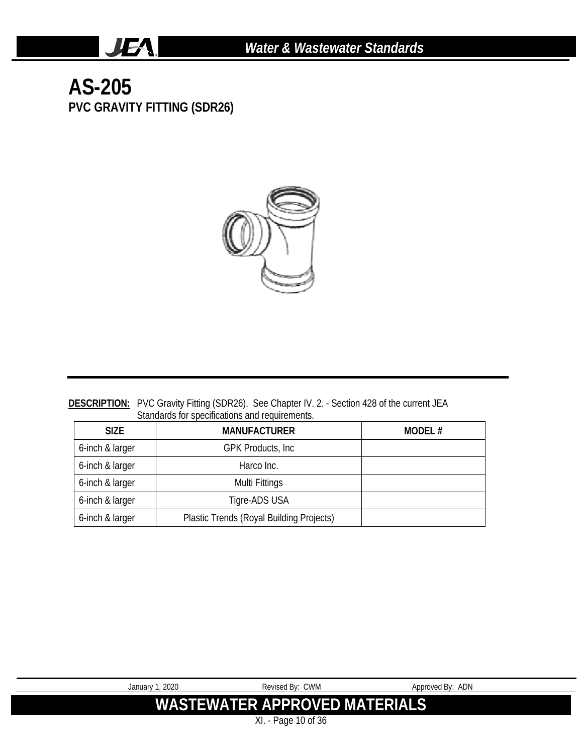# **AS-205 PVC GRAVITY FITTING (SDR26)**

**JEA** 



#### **DESCRIPTION:** PVC Gravity Fitting (SDR26). See Chapter IV. 2. - Section 428 of the current JEA Standards for specifications and requirements.

| <b>SIZE</b>     | <b>MANUFACTURER</b>                      | MODEL# |
|-----------------|------------------------------------------|--------|
| 6-inch & larger | <b>GPK Products, Inc.</b>                |        |
| 6-inch & larger | Harco Inc.                               |        |
| 6-inch & larger | Multi Fittings                           |        |
| 6-inch & larger | Tigre-ADS USA                            |        |
| 6-inch & larger | Plastic Trends (Royal Building Projects) |        |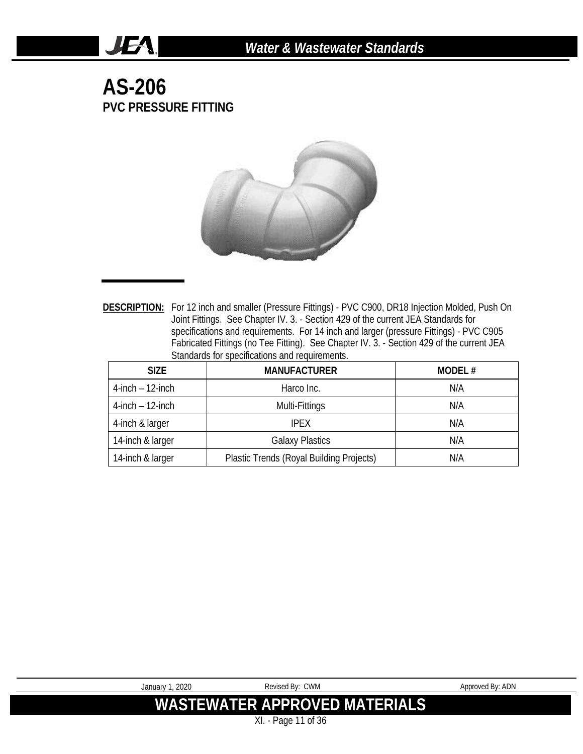#### **AS-206 PVC PRESSURE FITTING**

**JEA** 



**DESCRIPTION:** For 12 inch and smaller (Pressure Fittings) - PVC C900, DR18 Injection Molded, Push On Joint Fittings. See Chapter IV. 3. - Section 429 of the current JEA Standards for specifications and requirements. For 14 inch and larger (pressure Fittings) - PVC C905 Fabricated Fittings (no Tee Fitting). See Chapter IV. 3. - Section 429 of the current JEA Standards for specifications and requirements.

| <b>SIZE</b>           | <b>MANUFACTURER</b>                      | MODEL# |
|-----------------------|------------------------------------------|--------|
| $4$ -inch $-12$ -inch | Harco Inc.                               | N/A    |
| $4$ -inch $-12$ -inch | Multi-Fittings                           | N/A    |
| 4-inch & larger       | <b>IPFX</b>                              | N/A    |
| 14-inch & larger      | <b>Galaxy Plastics</b>                   | N/A    |
| 14-inch & larger      | Plastic Trends (Royal Building Projects) | N/A    |

| January 1, 2020 | Revised By: CWM               | Approved By: ADN |
|-----------------|-------------------------------|------------------|
|                 | WASTEWATER APPROVED MATERIALS |                  |
|                 | XI. - Page 11 of 36           |                  |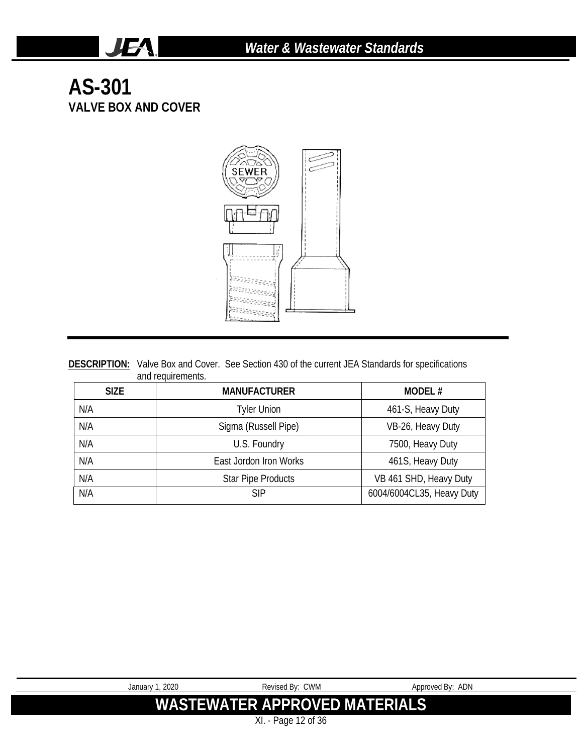# **AS-301 VALVE BOX AND COVER**

**JEA** 



|                   | <b>DESCRIPTION:</b> Valve Box and Cover. See Section 430 of the current JEA Standards for specifications |
|-------------------|----------------------------------------------------------------------------------------------------------|
| and requirements. |                                                                                                          |

| <b>SIZE</b> | <b>MANUFACTURER</b>       | MODEL#                    |
|-------------|---------------------------|---------------------------|
| N/A         | <b>Tyler Union</b>        | 461-S, Heavy Duty         |
| N/A         | Sigma (Russell Pipe)      | VB-26, Heavy Duty         |
| N/A         | U.S. Foundry              | 7500, Heavy Duty          |
| N/A         | East Jordon Iron Works    | 461S, Heavy Duty          |
| N/A         | <b>Star Pipe Products</b> | VB 461 SHD, Heavy Duty    |
| N/A         | SIP                       | 6004/6004CL35, Heavy Duty |

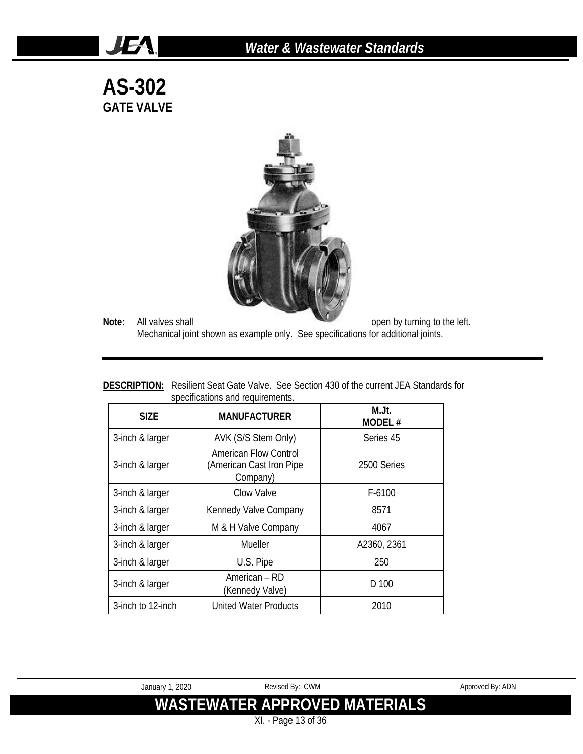#### *Water & Wastewater Standards*

**AS-302 GATE VALVE**

JEA.



**Note:** All valves shall **Note:** All valves shall **open** by turning to the left. Mechanical joint shown as example only. See specifications for additional joints.

|                                  | <b>DESCRIPTION:</b> Resilient Seat Gate Valve. See Section 430 of the current JEA Standards for |
|----------------------------------|-------------------------------------------------------------------------------------------------|
| specifications and requirements. |                                                                                                 |

| <b>SIZE</b>       | <b>MANUFACTURER</b>                                                          | M.Jt.<br>MODEL# |  |
|-------------------|------------------------------------------------------------------------------|-----------------|--|
| 3-inch & larger   | AVK (S/S Stem Only)                                                          | Series 45       |  |
| 3-inch & larger   | American Flow Control<br>(American Cast Iron Pipe<br>2500 Series<br>Company) |                 |  |
| 3-inch & larger   | Clow Valve                                                                   | $F-6100$        |  |
| 3-inch & larger   | Kennedy Valve Company<br>8571                                                |                 |  |
| 3-inch & larger   | M & H Valve Company<br>4067                                                  |                 |  |
| 3-inch & larger   | Mueller                                                                      | A2360, 2361     |  |
| 3-inch & larger   | U.S. Pipe                                                                    | 250             |  |
| 3-inch & larger   | American – RD<br>D 100<br>(Kennedy Valve)                                    |                 |  |
| 3-inch to 12-inch | <b>United Water Products</b>                                                 | 2010            |  |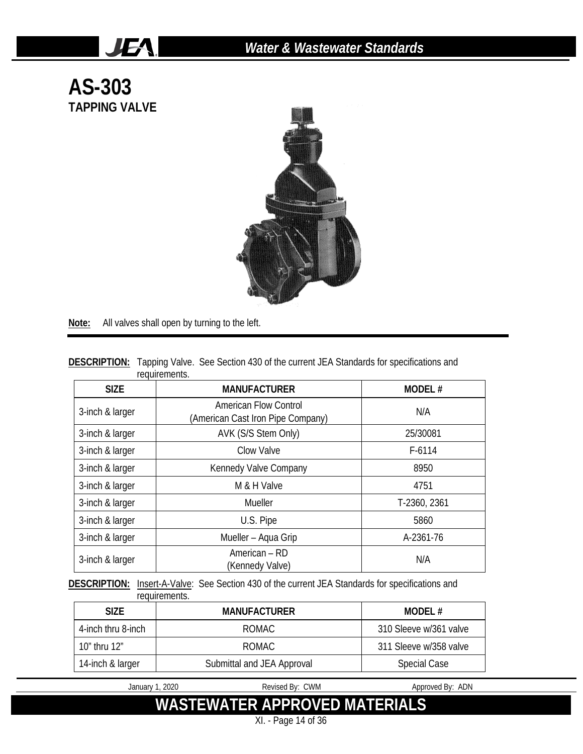

**Note:** All valves shall open by turning to the left.

JEA.

| <b>DESCRIPTION:</b> Tapping Valve. See Section 430 of the current JEA Standards for specifications and |               |  |  |  |
|--------------------------------------------------------------------------------------------------------|---------------|--|--|--|
|                                                                                                        | requirements. |  |  |  |

| <b>SIZE</b>     | <b>MANUFACTURER</b>                                               | MODEL#       |
|-----------------|-------------------------------------------------------------------|--------------|
| 3-inch & larger | <b>American Flow Control</b><br>(American Cast Iron Pipe Company) | N/A          |
| 3-inch & larger | AVK (S/S Stem Only)                                               | 25/30081     |
| 3-inch & larger | Clow Valve                                                        | $F-6114$     |
| 3-inch & larger | Kennedy Valve Company                                             | 8950         |
| 3-inch & larger | M & H Valve                                                       | 4751         |
| 3-inch & larger | Mueller                                                           | T-2360, 2361 |
| 3-inch & larger | U.S. Pipe                                                         | 5860         |
| 3-inch & larger | Mueller - Aqua Grip                                               | A-2361-76    |
| 3-inch & larger | American - RD<br>(Kennedy Valve)                                  | N/A          |

DESCRIPTION: Insert-A-Valve: See Section 430 of the current JEA Standards for specifications and requirements.

| <b>SIZE</b>        | <b>MANUFACTURER</b>        | <b>MODEL#</b>          |
|--------------------|----------------------------|------------------------|
| 4-inch thru 8-inch | ROMAC.                     | 310 Sleeve w/361 valve |
| 10" thru 12"       | ROMAC.                     | 311 Sleeve w/358 valve |
| 14-inch & larger   | Submittal and JEA Approval | <b>Special Case</b>    |

January 1, 2020 **Revised By: CWM** Approved By: ADN

**WASTEWATER APPROVED MATERIALS**

XI. - Page 14 of 36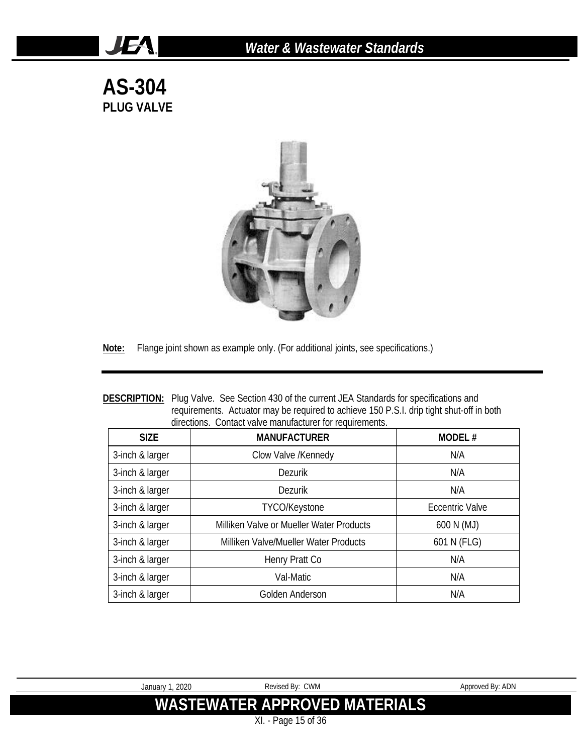# *Water & Wastewater Standards*

**AS-304 PLUG VALVE**

**JEA** 



**Note:** Flange joint shown as example only. (For additional joints, see specifications.)

| <b>DESCRIPTION:</b> Plug Valve. See Section 430 of the current JEA Standards for specifications and |
|-----------------------------------------------------------------------------------------------------|
| requirements. Actuator may be required to achieve 150 P.S.I. drip tight shut-off in both            |
| directions. Contact valve manufacturer for requirements.                                            |

| <b>SIZE</b>     | <b>MANUFACTURER</b>                      | <b>MODEL#</b>   |
|-----------------|------------------------------------------|-----------------|
| 3-inch & larger | Clow Valve /Kennedy                      | N/A             |
| 3-inch & larger | <b>Dezurik</b>                           | N/A             |
| 3-inch & larger | Dezurik                                  | N/A             |
| 3-inch & larger | TYCO/Keystone                            | Eccentric Valve |
| 3-inch & larger | Milliken Valve or Mueller Water Products | 600 N (MJ)      |
| 3-inch & larger | Milliken Valve/Mueller Water Products    | 601 N (FLG)     |
| 3-inch & larger | Henry Pratt Co                           | N/A             |
| 3-inch & larger | Val-Matic                                | N/A             |
| 3-inch & larger | Golden Anderson                          | N/A             |

| 2020<br>Januarv 1 | Revised By: CWM                      | Approved By: ADN |
|-------------------|--------------------------------------|------------------|
|                   | <b>WASTEWATER APPROVED MATERIALS</b> |                  |

XI. - Page 15 of 36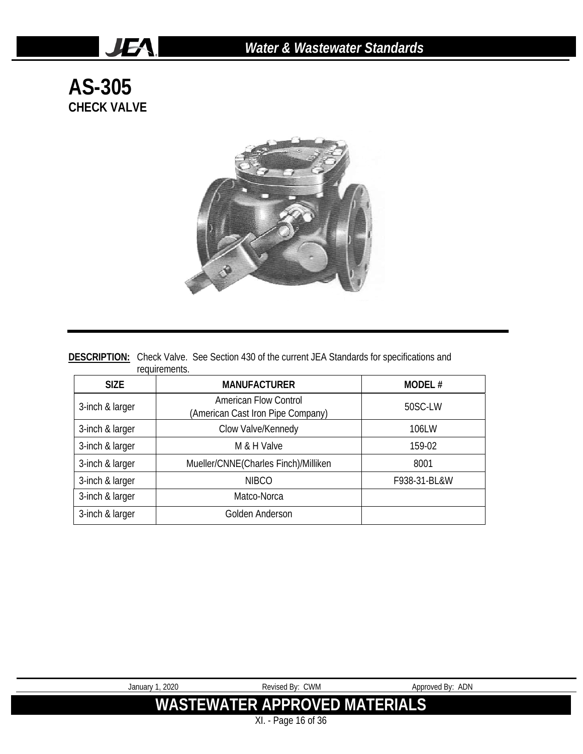# **AS-305 CHECK VALVE**

**JEA** 



#### **DESCRIPTION:** Check Valve. See Section 430 of the current JEA Standards for specifications and requirements.

| <b>SIZE</b>     | <b>MANUFACTURER</b>                                               | MODEL#       |
|-----------------|-------------------------------------------------------------------|--------------|
| 3-inch & larger | <b>American Flow Control</b><br>(American Cast Iron Pipe Company) | 50SC-LW      |
| 3-inch & larger | Clow Valve/Kennedy                                                | 106LW        |
| 3-inch & larger | M & H Valve                                                       | 159-02       |
| 3-inch & larger | Mueller/CNNE(Charles Finch)/Milliken                              | 8001         |
| 3-inch & larger | <b>NIBCO</b>                                                      | F938-31-BL&W |
| 3-inch & larger | Matco-Norca                                                       |              |
| 3-inch & larger | Golden Anderson                                                   |              |

| January 1, 2020 | Revised By: CWM               | Approved By: ADN |
|-----------------|-------------------------------|------------------|
|                 | WASTEWATER APPROVED MATERIALS |                  |
|                 | XI. - Page 16 of 36           |                  |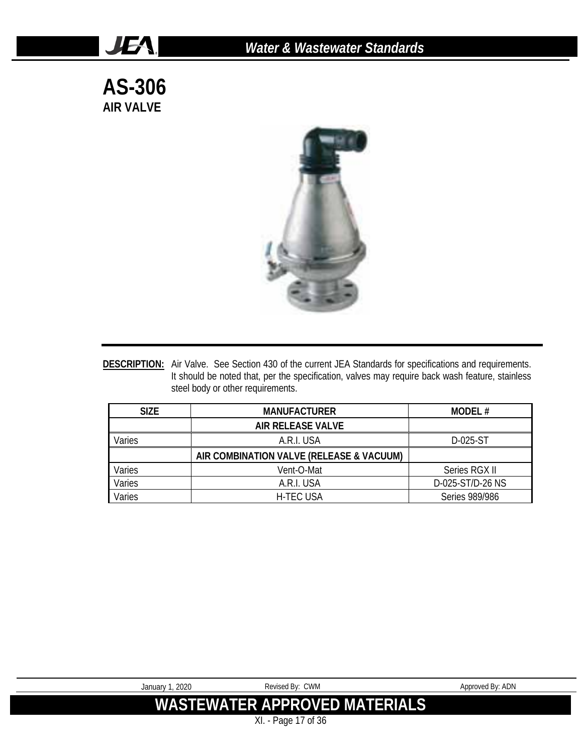**AS-306 AIR VALVE**

**JEA** 



**DESCRIPTION:** Air Valve. See Section 430 of the current JEA Standards for specifications and requirements. It should be noted that, per the specification, valves may require back wash feature, stainless steel body or other requirements.

| <b>SIZE</b> | <b>MANUFACTURER</b>                      | MODEL#           |
|-------------|------------------------------------------|------------------|
|             | AIR RELEASE VALVE                        |                  |
| Varies      | A.R.I. USA                               | D-025-ST         |
|             | AIR COMBINATION VALVE (RELEASE & VACUUM) |                  |
| Varies      | Vent-O-Mat                               | Series RGX II    |
| Varies      | A.R.I. USA                               | D-025-ST/D-26 NS |
| Varies      | <b>H-TEC USA</b>                         | Series 989/986   |

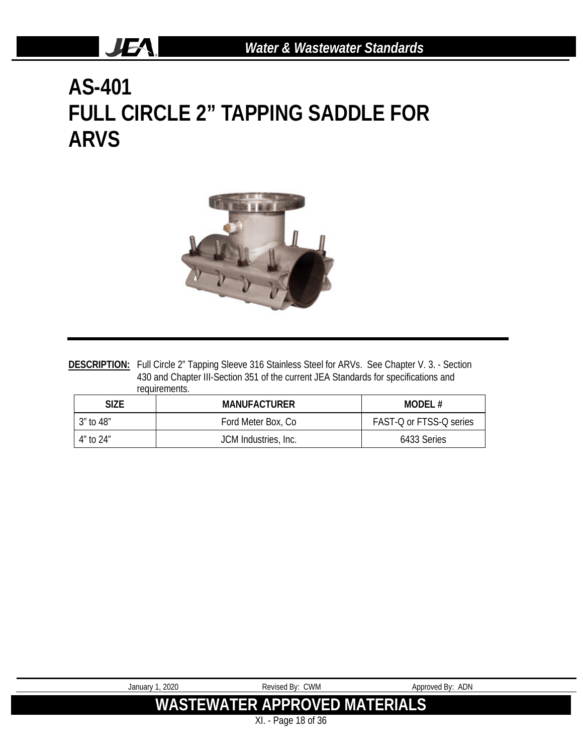# **AS-401 FULL CIRCLE 2" TAPPING SADDLE FOR ARVS**

JEA.



DESCRIPTION: Full Circle 2" Tapping Sleeve 316 Stainless Steel for ARVs. See Chapter V. 3. - Section 430 and Chapter III-Section 351 of the current JEA Standards for specifications and requirements.

| <b>SIZE</b> | <b>MANUFACTURER</b>  | MODEL#                  |
|-------------|----------------------|-------------------------|
| 3″ to 48″   | Ford Meter Box, Co.  | FAST-Q or FTSS-Q series |
| 4″ to 24″   | JCM Industries, Inc. | 6433 Series             |

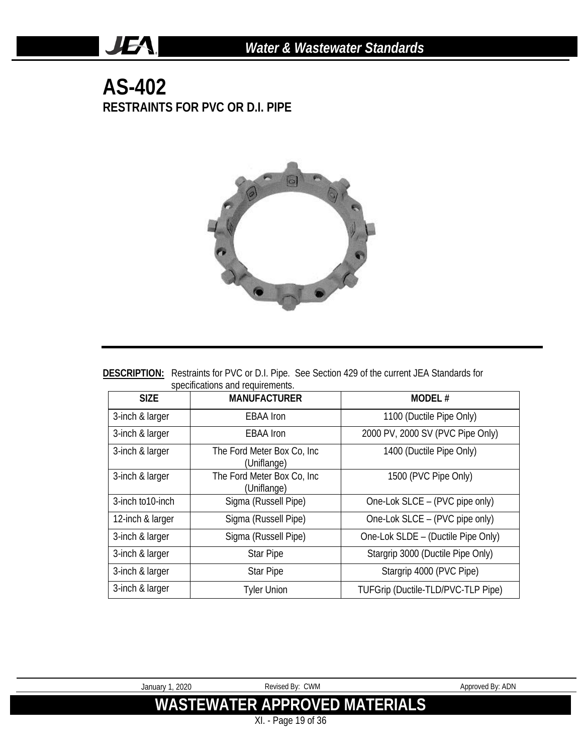### **AS-402 RESTRAINTS FOR PVC OR D.I. PIPE**

**JEA** 



| <b>DESCRIPTION:</b> Restraints for PVC or D.I. Pipe. See Section 429 of the current JEA Standards for |  |  |
|-------------------------------------------------------------------------------------------------------|--|--|
| specifications and requirements.                                                                      |  |  |

| <b>SIZE</b>       | <b>MANUFACTURER</b>                        | <b>MODEL#</b>                      |
|-------------------|--------------------------------------------|------------------------------------|
| 3-inch & larger   | <b>EBAA</b> Iron                           | 1100 (Ductile Pipe Only)           |
| 3-inch & larger   | <b>EBAA</b> Iron                           | 2000 PV, 2000 SV (PVC Pipe Only)   |
| 3-inch & larger   | The Ford Meter Box Co, Inc.<br>(Uniflange) | 1400 (Ductile Pipe Only)           |
| 3-inch & larger   | The Ford Meter Box Co, Inc.<br>(Uniflange) | 1500 (PVC Pipe Only)               |
| 3-inch to 10-inch | Sigma (Russell Pipe)                       | One-Lok SLCE - (PVC pipe only)     |
| 12-inch & larger  | Sigma (Russell Pipe)                       | One-Lok SLCE - (PVC pipe only)     |
| 3-inch & larger   | Sigma (Russell Pipe)                       | One-Lok SLDE - (Ductile Pipe Only) |
| 3-inch & larger   | <b>Star Pipe</b>                           | Stargrip 3000 (Ductile Pipe Only)  |
| 3-inch & larger   | <b>Star Pipe</b>                           | Stargrip 4000 (PVC Pipe)           |
| 3-inch & larger   | <b>Tyler Union</b>                         | TUFGrip (Ductile-TLD/PVC-TLP Pipe) |

| January 1, 2020 | Revised By: CWM                      | Approved By: ADN |
|-----------------|--------------------------------------|------------------|
|                 | <b>WASTEWATER APPROVED MATERIALS</b> |                  |
|                 | XI. - Page 19 of 36                  |                  |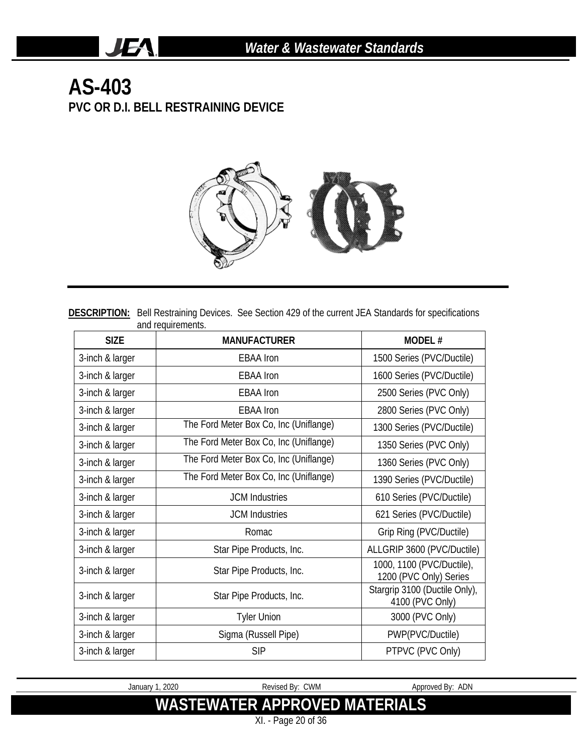# **AS-403 PVC OR D.I. BELL RESTRAINING DEVICE**

**JEA** 



**DESCRIPTION:** Bell Restraining Devices. See Section 429 of the current JEA Standards for specifications and requirements.

| <b>SIZE</b>     | <b>MANUFACTURER</b>                    | MODEL#                                              |
|-----------------|----------------------------------------|-----------------------------------------------------|
| 3-inch & larger | <b>EBAA</b> Iron                       | 1500 Series (PVC/Ductile)                           |
| 3-inch & larger | <b>EBAA</b> Iron                       | 1600 Series (PVC/Ductile)                           |
| 3-inch & larger | <b>EBAA</b> Iron                       | 2500 Series (PVC Only)                              |
| 3-inch & larger | <b>EBAA</b> Iron                       | 2800 Series (PVC Only)                              |
| 3-inch & larger | The Ford Meter Box Co, Inc (Uniflange) | 1300 Series (PVC/Ductile)                           |
| 3-inch & larger | The Ford Meter Box Co, Inc (Uniflange) | 1350 Series (PVC Only)                              |
| 3-inch & larger | The Ford Meter Box Co, Inc (Uniflange) | 1360 Series (PVC Only)                              |
| 3-inch & larger | The Ford Meter Box Co, Inc (Uniflange) | 1390 Series (PVC/Ductile)                           |
| 3-inch & larger | <b>JCM Industries</b>                  | 610 Series (PVC/Ductile)                            |
| 3-inch & larger | <b>JCM</b> Industries                  | 621 Series (PVC/Ductile)                            |
| 3-inch & larger | Romac                                  | Grip Ring (PVC/Ductile)                             |
| 3-inch & larger | Star Pipe Products, Inc.               | ALLGRIP 3600 (PVC/Ductile)                          |
| 3-inch & larger | Star Pipe Products, Inc.               | 1000, 1100 (PVC/Ductile),<br>1200 (PVC Only) Series |
| 3-inch & larger | Star Pipe Products, Inc.               | Stargrip 3100 (Ductile Only),<br>4100 (PVC Only)    |
| 3-inch & larger | <b>Tyler Union</b>                     | 3000 (PVC Only)                                     |
| 3-inch & larger | Sigma (Russell Pipe)                   | PWP(PVC/Ductile)                                    |
| 3-inch & larger | <b>SIP</b>                             | PTPVC (PVC Only)                                    |

January 1, 2020 **Revised By: CWM** Approved By: ADN

**WASTEWATER APPROVED MATERIALS**

XI. - Page 20 of 36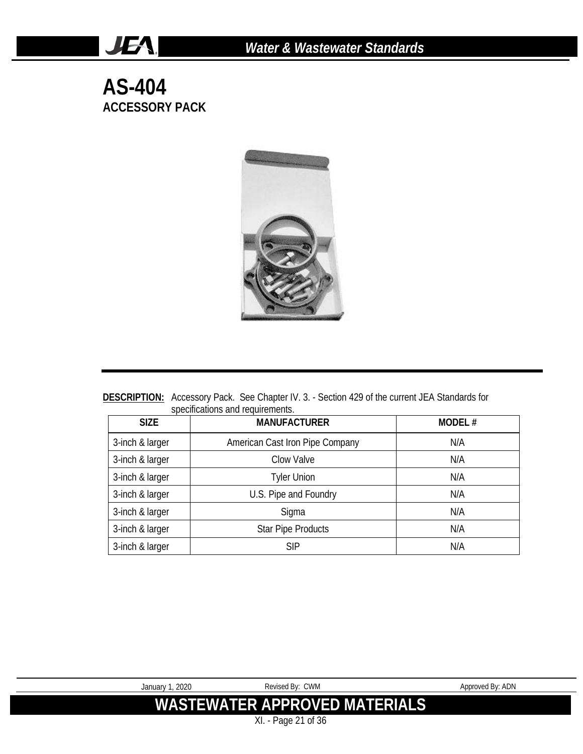**AS-404 ACCESSORY PACK**

**JEA** 



**DESCRIPTION:** Accessory Pack. See Chapter IV. 3. - Section 429 of the current JEA Standards for specifications and requirements.

| <b>SIZE</b>     | <b>MANUFACTURER</b>             | <b>MODEL#</b> |
|-----------------|---------------------------------|---------------|
| 3-inch & larger | American Cast Iron Pipe Company | N/A           |
| 3-inch & larger | Clow Valve                      | N/A           |
| 3-inch & larger | <b>Tyler Union</b>              | N/A           |
| 3-inch & larger | U.S. Pipe and Foundry           | N/A           |
| 3-inch & larger | Sigma                           | N/A           |
| 3-inch & larger | <b>Star Pipe Products</b>       | N/A           |
| 3-inch & larger | <b>SIP</b>                      | N/A           |

| January 1, 2020 | Revised By: CWM                      | Approved By: ADN |
|-----------------|--------------------------------------|------------------|
|                 |                                      |                  |
|                 | <b>WASTEWATER APPROVED MATERIALS</b> |                  |
|                 |                                      |                  |
|                 | $D_{0.92}$ 21 of 24                  |                  |

XI. - Page 21 of 36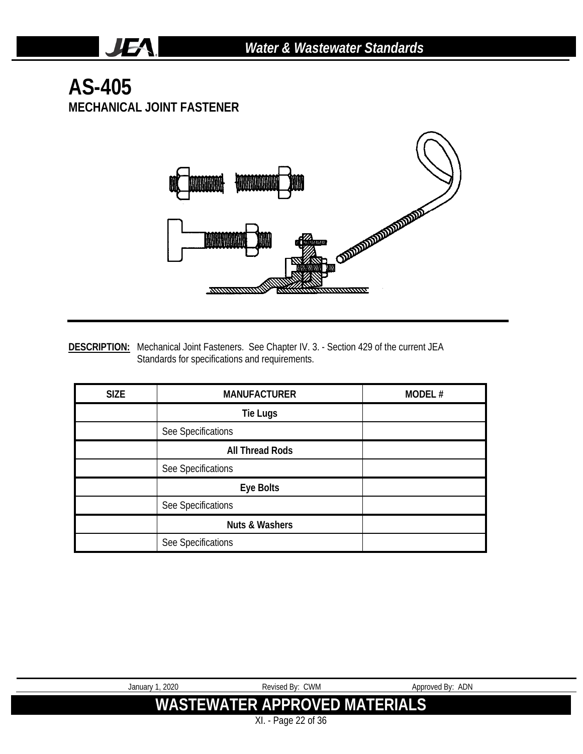## **AS-405 MECHANICAL JOINT FASTENER**

**JEA** 



**DESCRIPTION:** Mechanical Joint Fasteners. See Chapter IV. 3. - Section 429 of the current JEA Standards for specifications and requirements.

| <b>SIZE</b> | <b>MANUFACTURER</b>       | MODEL# |
|-------------|---------------------------|--------|
|             | <b>Tie Lugs</b>           |        |
|             | See Specifications        |        |
|             | <b>All Thread Rods</b>    |        |
|             | See Specifications        |        |
|             | Eye Bolts                 |        |
|             | See Specifications        |        |
|             | <b>Nuts &amp; Washers</b> |        |
|             | See Specifications        |        |

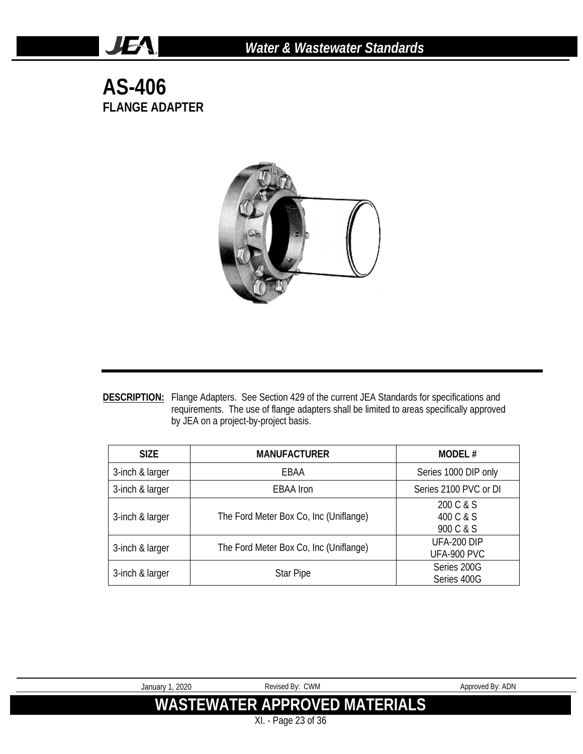#### **AS-406 FLANGE ADAPTER**

**JEA** 



**DESCRIPTION:** Flange Adapters. See Section 429 of the current JEA Standards for specifications and requirements. The use of flange adapters shall be limited to areas specifically approved by JEA on a project-by-project basis.

| <b>SIZE</b>     | <b>MANUFACTURER</b>                    | <b>MODEL#</b>                       |
|-----------------|----------------------------------------|-------------------------------------|
| 3-inch & larger | EBAA                                   | Series 1000 DIP only                |
| 3-inch & larger | <b>EBAA</b> Iron                       | Series 2100 PVC or DI               |
| 3-inch & larger | The Ford Meter Box Co, Inc (Uniflange) | 200 C & S<br>400 C & S<br>900 C & S |
| 3-inch & larger | The Ford Meter Box Co, Inc (Uniflange) | UFA-200 DIP<br>UFA-900 PVC          |
| 3-inch & larger | <b>Star Pipe</b>                       | Series 200G<br>Series 400G          |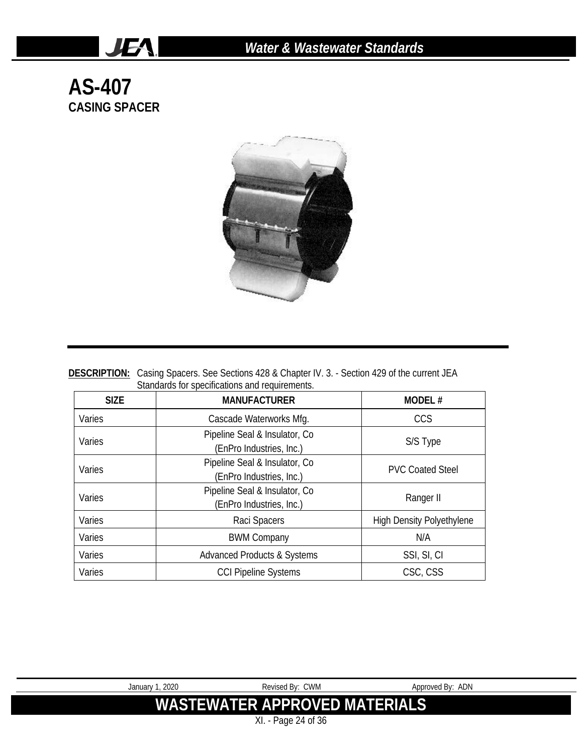# **AS-407 CASING SPACER**

JEA.



| <b>DESCRIPTION:</b> Casing Spacers. See Sections 428 & Chapter IV. 3. - Section 429 of the current JEA |
|--------------------------------------------------------------------------------------------------------|
| Standards for specifications and requirements.                                                         |

| <b>SIZE</b>                                                          | <b>MANUFACTURER</b>                                        | <b>MODEL#</b>                    |
|----------------------------------------------------------------------|------------------------------------------------------------|----------------------------------|
| Varies                                                               | CCS<br>Cascade Waterworks Mfg.                             |                                  |
| Varies                                                               | Pipeline Seal & Insulator, Co.<br>(EnPro Industries, Inc.) | S/S Type                         |
| Varies                                                               | Pipeline Seal & Insulator, Co.<br>(EnPro Industries, Inc.) | <b>PVC Coated Steel</b>          |
| Pipeline Seal & Insulator, Co.<br>Varies<br>(EnPro Industries, Inc.) |                                                            | Ranger II                        |
| Varies                                                               | Raci Spacers                                               | <b>High Density Polyethylene</b> |
| Varies                                                               | <b>BWM Company</b>                                         | N/A                              |
| Varies                                                               | <b>Advanced Products &amp; Systems</b><br>SSI, SI, CI      |                                  |
| Varies                                                               | <b>CCI Pipeline Systems</b><br>CSC, CSS                    |                                  |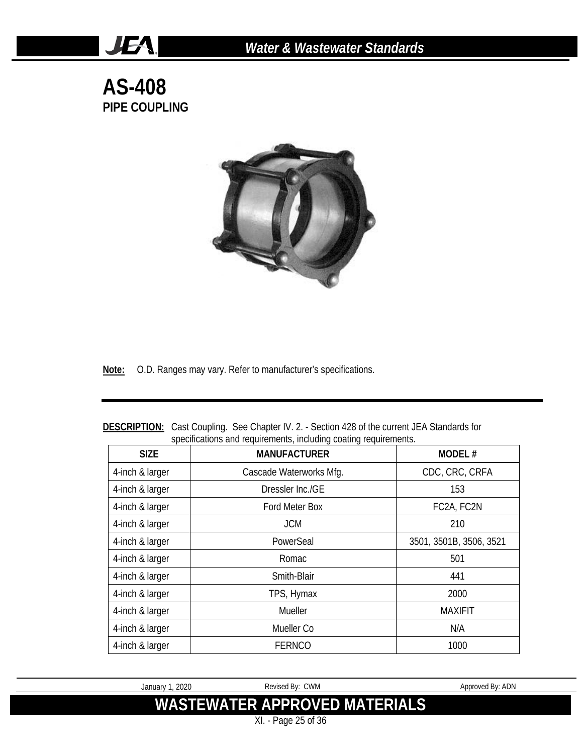**AS-408 PIPE COUPLING**

JEA.



**Note:** O.D. Ranges may vary. Refer to manufacturer's specifications.

| <b>SIZE</b>     | specifications and requirements, including coating requirements.<br><b>MANUFACTURER</b> | <b>MODEL#</b>           |
|-----------------|-----------------------------------------------------------------------------------------|-------------------------|
| 4-inch & larger | Cascade Waterworks Mfg.                                                                 | CDC, CRC, CRFA          |
| 4-inch & larger | Dressler Inc./GE                                                                        | 153                     |
| 4-inch & larger | Ford Meter Box                                                                          | FC2A, FC2N              |
| 4-inch & larger | <b>JCM</b>                                                                              | 210                     |
| 4-inch & larger | PowerSeal                                                                               | 3501, 3501B, 3506, 3521 |
| 4-inch & larger | Romac                                                                                   | 501                     |
| 4-inch & larger | Smith-Blair                                                                             | 441                     |
| 4-inch & larger | TPS, Hymax                                                                              | 2000                    |
| 4-inch & larger | Mueller                                                                                 | <b>MAXIFIT</b>          |
| 4-inch & larger | Mueller Co                                                                              | N/A                     |
| 4-inch & larger | <b>FERNCO</b>                                                                           | 1000                    |

**DESCRIPTION:** Cast Coupling. See Chapter IV. 2. - Section 428 of the current JEA Standards for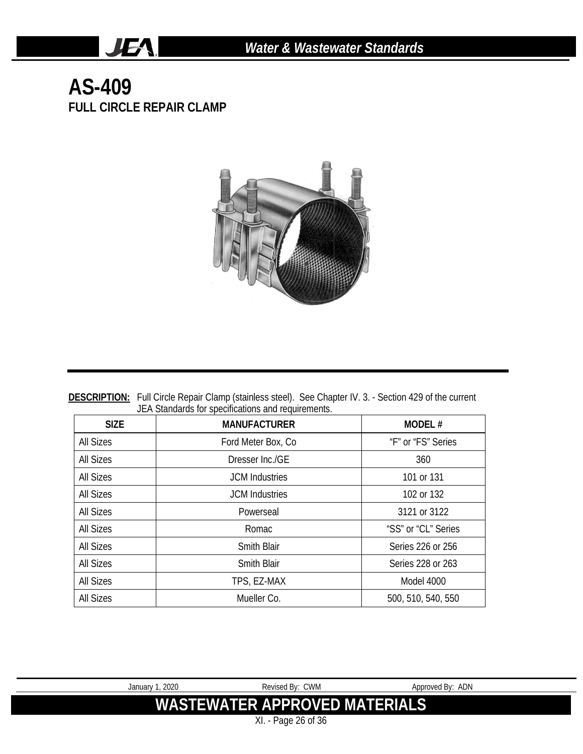# **AS-409 FULL CIRCLE REPAIR CLAMP**

JEA.



**DESCRIPTION:** Full Circle Repair Clamp (stainless steel). See Chapter IV. 3. - Section 429 of the current JEA Standards for specifications and requirements.

| <b>SIZE</b>      | <b>MANUFACTURER</b>   | MODEL#              |
|------------------|-----------------------|---------------------|
| All Sizes        | Ford Meter Box, Co.   | "F" or "FS" Series  |
| All Sizes        | Dresser Inc./GF       | 360                 |
| All Sizes        | <b>JCM</b> Industries | 101 or 131          |
| All Sizes        | <b>JCM</b> Industries | 102 or 132          |
| All Sizes        | Powerseal             | 3121 or 3122        |
| All Sizes        | Romac                 | "SS" or "CL" Series |
| All Sizes        | <b>Smith Blair</b>    | Series 226 or 256   |
| All Sizes        | <b>Smith Blair</b>    | Series 228 or 263   |
| All Sizes        | TPS, EZ-MAX           | Model 4000          |
| <b>All Sizes</b> | Mueller Co.           | 500, 510, 540, 550  |

XI. - Page 26 of 36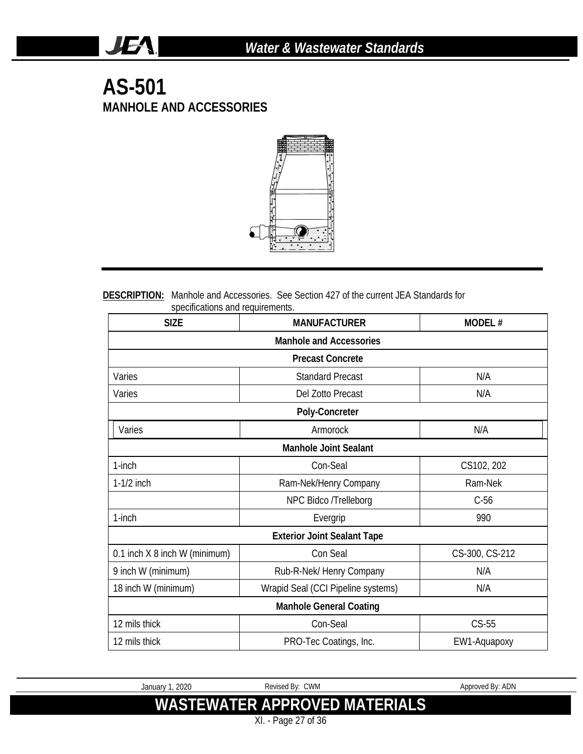## **AS-501 MANHOLE AND ACCESSORIES**

JEA.



#### **DESCRIPTION:** Manhole and Accessories. See Section 427 of the current JEA Standards for specifications and requirements.

| <b>SIZE</b>                   | <b>MANUFACTURER</b>                | <b>MODEL#</b>  |  |  |  |
|-------------------------------|------------------------------------|----------------|--|--|--|
|                               | <b>Manhole and Accessories</b>     |                |  |  |  |
|                               | <b>Precast Concrete</b>            |                |  |  |  |
| Varies                        | <b>Standard Precast</b>            | N/A            |  |  |  |
| Varies                        | Del Zotto Precast                  | N/A            |  |  |  |
|                               | Poly-Concreter                     |                |  |  |  |
| Varies                        | Armorock                           | N/A            |  |  |  |
|                               | <b>Manhole Joint Sealant</b>       |                |  |  |  |
| 1-inch                        | Con-Seal                           | CS102, 202     |  |  |  |
| $1-1/2$ inch                  | Ram-Nek/Henry Company              | Ram-Nek        |  |  |  |
|                               | NPC Bidco /Trelleborg              | $C-56$         |  |  |  |
| 1-inch                        | Evergrip                           | 990            |  |  |  |
|                               | <b>Exterior Joint Sealant Tape</b> |                |  |  |  |
| 0.1 inch X 8 inch W (minimum) | Con Seal                           | CS-300, CS-212 |  |  |  |
| 9 inch W (minimum)            | Rub-R-Nek/ Henry Company           | N/A            |  |  |  |
| 18 inch W (minimum)           | Wrapid Seal (CCI Pipeline systems) | N/A            |  |  |  |
|                               | <b>Manhole General Coating</b>     |                |  |  |  |
| 12 mils thick                 | Con-Seal                           | $CS-55$        |  |  |  |
| 12 mils thick                 | PRO-Tec Coatings, Inc.             | EW1-Aquapoxy   |  |  |  |

January 1, 2020 Revised By: CWM Approved By: ADN **WASTEWATER APPROVED MATERIALS**

XI. - Page 27 of 36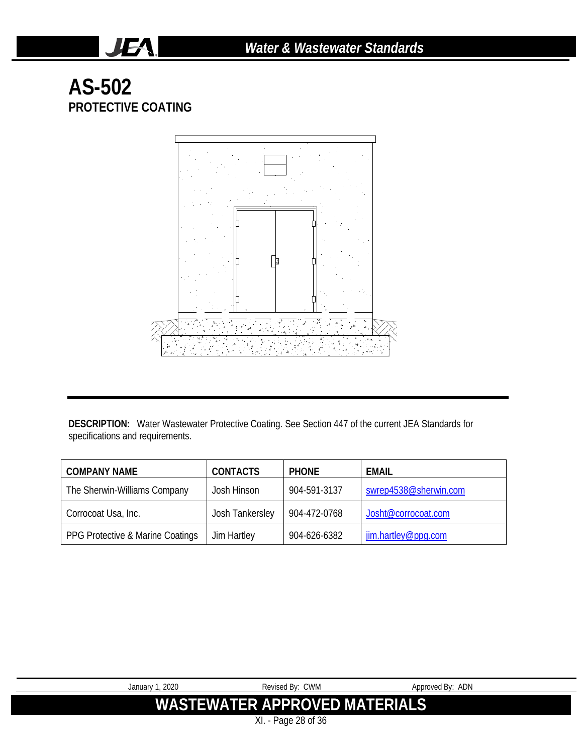# **AS-502 PROTECTIVE COATING**

JEA.



**DESCRIPTION:** Water Wastewater Protective Coating. See Section 447 of the current JEA Standards for specifications and requirements.

| <b>COMPANY NAME</b>              | <b>CONTACTS</b> | <b>PHONE</b> | <b>EMAIL</b>          |
|----------------------------------|-----------------|--------------|-----------------------|
| The Sherwin-Williams Company     | Josh Hinson     | 904-591-3137 | swrep4538@sherwin.com |
| Corrocoat Usa, Inc.              | Josh Tankersley | 904-472-0768 | Josht@corrocoat.com   |
| PPG Protective & Marine Coatings | Jim Hartley     | 904-626-6382 | jim.hartley@ppq.com   |

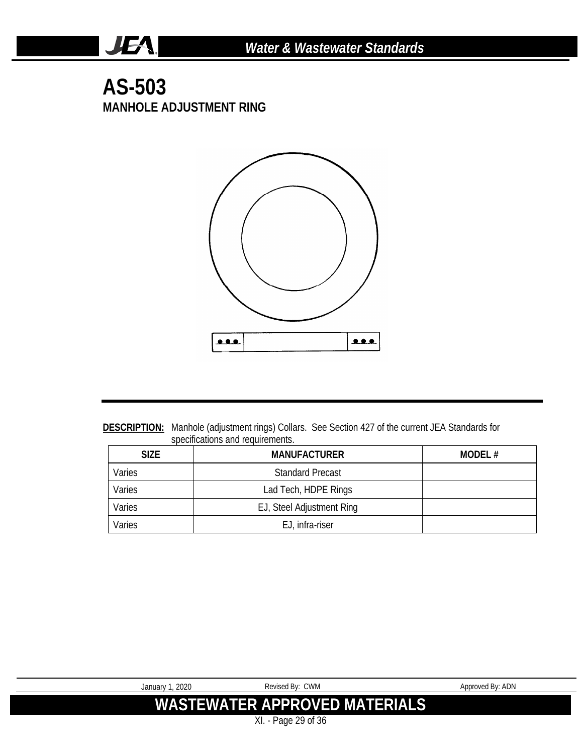#### **AS-503 MANHOLE ADJUSTMENT RING**

**JEA** 



**DESCRIPTION:** Manhole (adjustment rings) Collars. See Section 427 of the current JEA Standards for specifications and requirements.

| <b>SIZE</b> | <b>MANUFACTURER</b>       | MODEL $#$ |
|-------------|---------------------------|-----------|
| Varies      | <b>Standard Precast</b>   |           |
| Varies      | Lad Tech, HDPE Rings      |           |
| Varies      | EJ, Steel Adjustment Ring |           |
| Varies      | EJ, infra-riser           |           |

| January 1, 2020 | Revised By: CWM                      | Approved By: ADN |
|-----------------|--------------------------------------|------------------|
|                 | <b>WASTEWATER APPROVED MATERIALS</b> |                  |
|                 | XI. - Page 29 of 36                  |                  |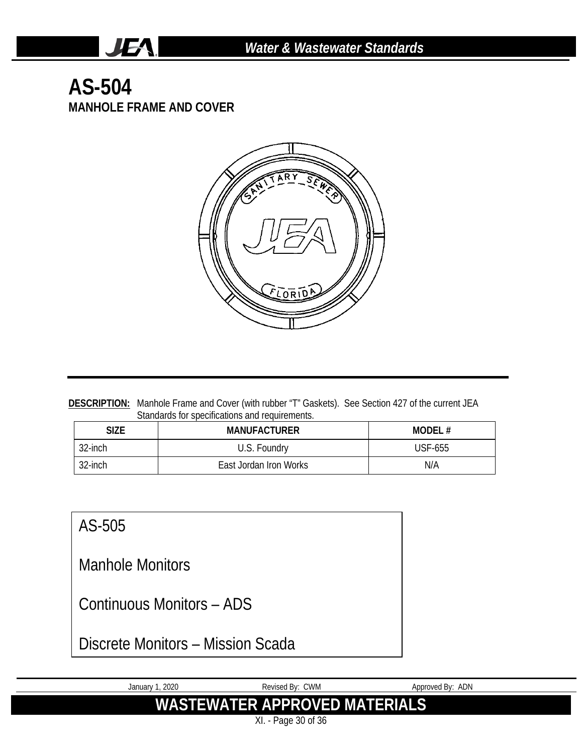# **AS-504 MANHOLE FRAME AND COVER**

**JEA** 



**DESCRIPTION:** Manhole Frame and Cover (with rubber "T" Gaskets). See Section 427 of the current JEA Standards for specifications and requirements.

| SIZE    | <b>MANUFACTURER</b>    | MODEL#  |
|---------|------------------------|---------|
| 32-inch | U.S. Foundry           | USF-655 |
| 32-inch | East Jordan Iron Works | N/A     |

#### AS-505

Manhole Monitors

Continuous Monitors – ADS

Discrete Monitors – Mission Scada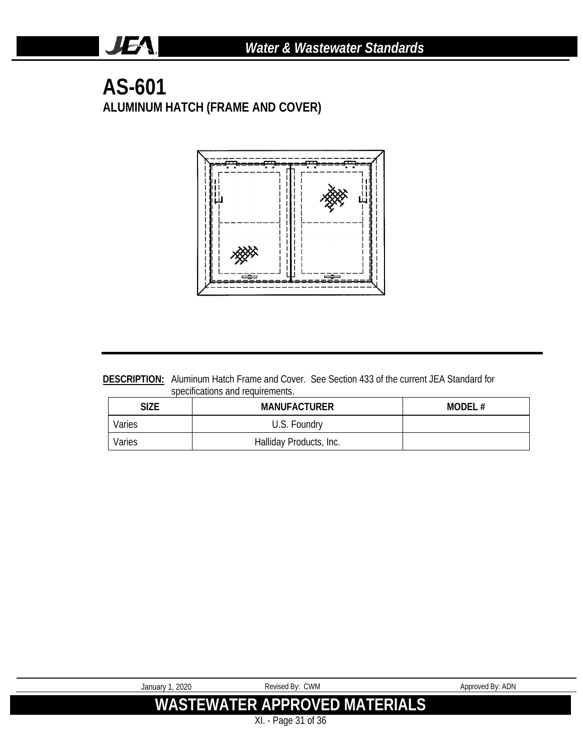### **AS-601 ALUMINUM HATCH (FRAME AND COVER)**

JEA.



**DESCRIPTION:** Aluminum Hatch Frame and Cover. See Section 433 of the current JEA Standard for specifications and requirements.

| SIZE   | <b>MANUFACTURER</b>     | MODEL# |
|--------|-------------------------|--------|
| Varies | U.S. Foundry            |        |
| Varies | Halliday Products, Inc. |        |

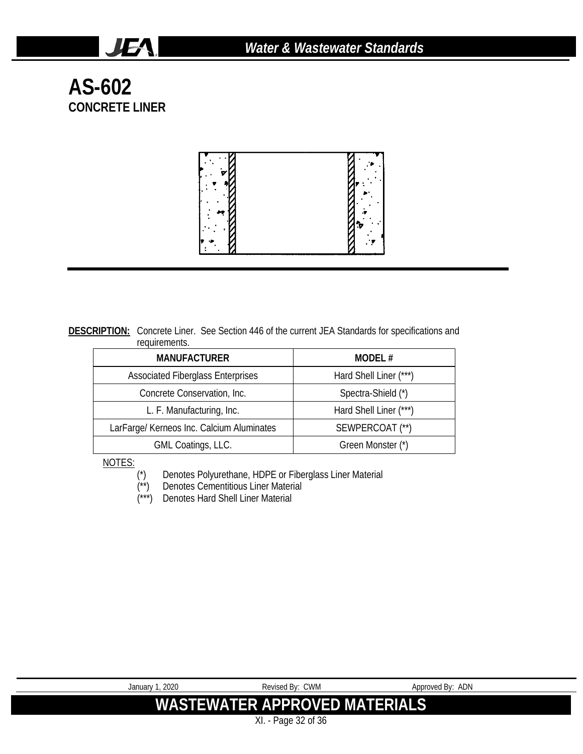**AS-602 CONCRETE LINER**

**JEA** 



**DESCRIPTION:** Concrete Liner. See Section 446 of the current JEA Standards for specifications and requirements.

| <b>MANUFACTURER</b>                       | MODEL#                 |
|-------------------------------------------|------------------------|
| <b>Associated Fiberglass Enterprises</b>  | Hard Shell Liner (***) |
| Concrete Conservation, Inc.               | Spectra-Shield (*)     |
| L. F. Manufacturing, Inc.                 | Hard Shell Liner (***) |
| LarFarge/ Kerneos Inc. Calcium Aluminates | SEWPERCOAT (**)        |
| GML Coatings, LLC.                        | Green Monster (*)      |

NOTES:

(\*) Denotes Polyurethane, HDPE or Fiberglass Liner Material

- (\*\*) Denotes Cementitious Liner Material (\*\*) Denotes Cementitious Liner Mater<br>(\*\*\*) Denotes Hard Shell Liner Material
- 

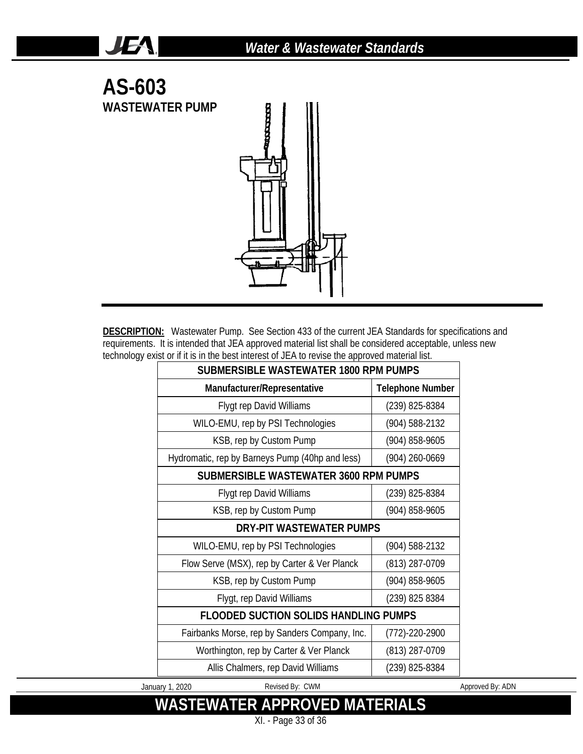

JEA.

**DESCRIPTION:** Wastewater Pump. See Section 433 of the current JEA Standards for specifications and requirements. It is intended that JEA approved material list shall be considered acceptable, unless new technology exist or if it is in the best interest of JEA to revise the approved material list.

| <b>SUBMERSIBLE WASTEWATER 1800 RPM PUMPS</b>    |                         |  |  |  |
|-------------------------------------------------|-------------------------|--|--|--|
| Manufacturer/Representative                     | <b>Telephone Number</b> |  |  |  |
| <b>Flygt rep David Williams</b>                 | (239) 825-8384          |  |  |  |
| WILO-EMU, rep by PSI Technologies               | (904) 588-2132          |  |  |  |
| KSB, rep by Custom Pump                         | (904) 858-9605          |  |  |  |
| Hydromatic, rep by Barneys Pump (40hp and less) | (904) 260-0669          |  |  |  |
| SUBMERSIBLE WASTEWATER 3600 RPM PUMPS           |                         |  |  |  |
| <b>Flygt rep David Williams</b>                 | (239) 825-8384          |  |  |  |
| KSB, rep by Custom Pump                         | (904) 858-9605          |  |  |  |
| DRY-PIT WASTEWATER PUMPS                        |                         |  |  |  |
| WILO-EMU, rep by PSI Technologies               | (904) 588-2132          |  |  |  |
| Flow Serve (MSX), rep by Carter & Ver Planck    | (813) 287-0709          |  |  |  |
| KSB, rep by Custom Pump                         | (904) 858-9605          |  |  |  |
| Flygt, rep David Williams                       | (239) 825 8384          |  |  |  |
| <b>FLOODED SUCTION SOLIDS HANDLING PUMPS</b>    |                         |  |  |  |
| Fairbanks Morse, rep by Sanders Company, Inc.   | (772)-220-2900          |  |  |  |
| Worthington, rep by Carter & Ver Planck         | (813) 287-0709          |  |  |  |
| Allis Chalmers, rep David Williams              | (239) 825-8384          |  |  |  |

January 1, 2020 Revised By: CWM Approved By: ADN

**WASTEWATER APPROVED MATERIALS** XI. - Page 33 of 36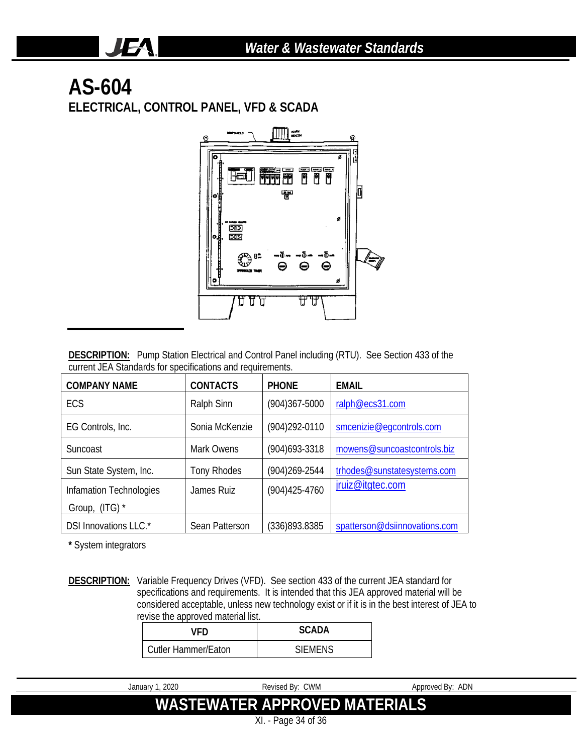# **AS-604**

JEA.

**ELECTRICAL, CONTROL PANEL, VFD & SCADA**



**DESCRIPTION:** Pump Station Electrical and Control Panel including (RTU). See Section 433 of the current JEA Standards for specifications and requirements.

| <b>CONTACTS</b><br><b>COMPANY NAME</b> |                    | <b>PHONE</b>      | <b>EMAIL</b>                  |
|----------------------------------------|--------------------|-------------------|-------------------------------|
| ECS                                    | Ralph Sinn         | $(904)367 - 5000$ | ralph@ecs31.com               |
| EG Controls, Inc.                      | Sonia McKenzie     | (904) 292-0110    | smcenizie@eqcontrols.com      |
| Suncoast                               | Mark Owens         | $(904)693 - 3318$ | mowens@suncoastcontrols.biz   |
| Sun State System, Inc.                 | <b>Tony Rhodes</b> | $(904)269 - 2544$ | trhodes@sunstatesystems.com   |
| Infamation Technologies                | James Ruiz         | $(904)425 - 4760$ | jruiz@itgtec.com              |
| Group, (ITG) *                         |                    |                   |                               |
| DSI Innovations LLC.*                  | Sean Patterson     | (336)893.8385     | spatterson@dsiinnovations.com |

**\*** System integrators

**DESCRIPTION:** Variable Frequency Drives (VFD). See section 433 of the current JEA standard for specifications and requirements. It is intended that this JEA approved material will be considered acceptable, unless new technology exist or if it is in the best interest of JEA to revise the approved material list.

| VFD.                       | SCADA          |  |
|----------------------------|----------------|--|
| <b>Cutler Hammer/Eaton</b> | <b>SIFMENS</b> |  |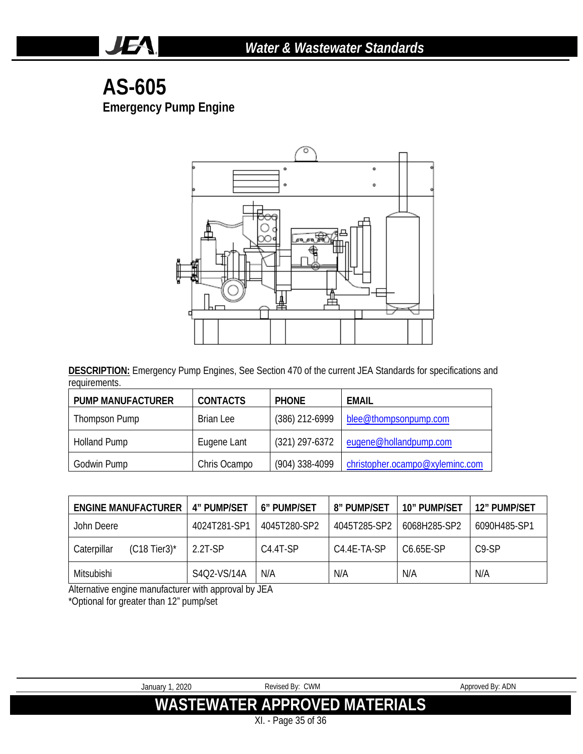## **AS-605 Emergency Pump Engine**

**JEA** 



**DESCRIPTION:** Emergency Pump Engines, See Section 470 of the current JEA Standards for specifications and requirements.

| <b>PUMP MANUFACTURER</b> | <b>CONTACTS</b> | <b>PHONE</b>     | EMAIL                           |
|--------------------------|-----------------|------------------|---------------------------------|
| Thompson Pump            | Brian Lee       | (386) 212-6999   | blee@thompsonpump.com           |
| <b>Holland Pump</b>      | Eugene Lant     | $(321)$ 297-6372 | eugene@hollandpump.com          |
| Godwin Pump              | Chris Ocampo    | (904) 338-4099   | christopher.ocampo@xyleminc.com |

|             | <b>ENGINE MANUFACTURER</b> | 4" PUMP/SET  | 6" PUMP/SET  | <b>8" PUMP/SET</b> | 10" PUMP/SET           | 12" PUMP/SET       |
|-------------|----------------------------|--------------|--------------|--------------------|------------------------|--------------------|
| John Deere  |                            | 4024T281-SP1 | 4045T280-SP2 | 4045T285-SP2       | 6068H285-SP2           | 6090H485-SP1       |
| Caterpillar | $(C18$ Tier3)*             | $2.2T-SP$    | $C4.4T-SP$   | C4.4E-TA-SP        | C <sub>6.65</sub> F-SP | C <sub>9</sub> -SP |
| Mitsubishi  |                            | S4Q2-VS/14A  | N/A          | N/A                | N/A                    | N/A                |

Alternative engine manufacturer with approval by JEA

\*Optional for greater than 12" pump/set